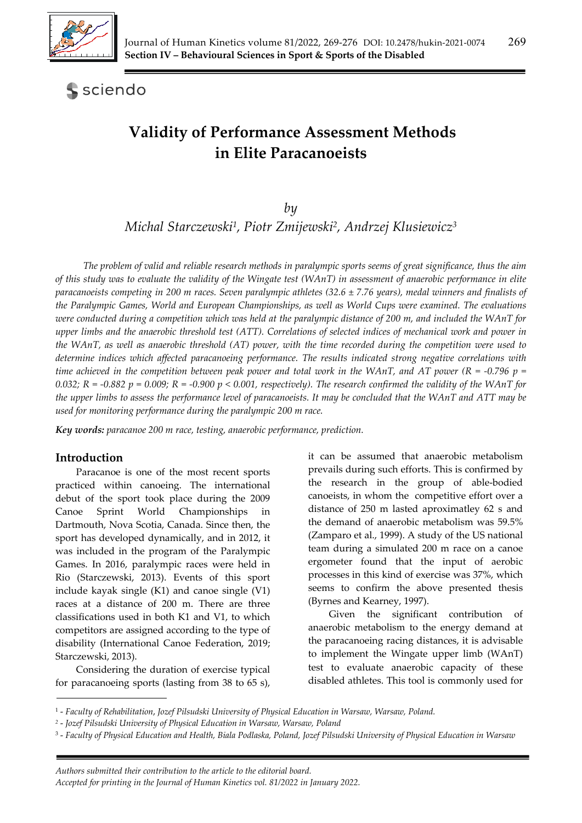

# sciendo

# **Validity of Performance Assessment Methods in Elite Paracanoeists**

*by* 

*Michal Starczewski1, Piotr Zmijewski2, Andrzej Klusiewicz3*

*The problem of valid and reliable research methods in paralympic sports seems of great significance, thus the aim of this study was to evaluate the validity of the Wingate test (WAnT) in assessment of anaerobic performance in elite paracanoeists competing in 200 m races. Seven paralympic athletes (32.6 ± 7.76 years), medal winners and finalists of the Paralympic Games, World and European Championships, as well as World Cups were examined. The evaluations were conducted during a competition which was held at the paralympic distance of 200 m, and included the WAnT for upper limbs and the anaerobic threshold test (ATT). Correlations of selected indices of mechanical work and power in the WAnT, as well as anaerobic threshold (AT) power, with the time recorded during the competition were used to determine indices which affected paracanoeing performance. The results indicated strong negative correlations with time achieved in the competition between peak power and total work in the WAnT, and AT power (R = -0.796 p =*  $\frac{1}{2}$ *) 0.032; R = -0.882 p = 0.009; R = -0.900 p < 0.001, respectively). The research confirmed the validity of the WAnT for the upper limbs to assess the performance level of paracanoeists. It may be concluded that the WAnT and ATT may be used for monitoring performance during the paralympic 200 m race.* 

*Key words: paracanoe 200 m race, testing, anaerobic performance, prediction.*

#### **Introduction**

Paracanoe is one of the most recent sports practiced within canoeing. The international debut of the sport took place during the 2009 Canoe Sprint World Championships in Dartmouth, Nova Scotia, Canada. Since then, the sport has developed dynamically, and in 2012, it was included in the program of the Paralympic Games. In 2016, paralympic races were held in Rio (Starczewski, 2013). Events of this sport include kayak single (K1) and canoe single (V1) races at a distance of 200 m. There are three classifications used in both K1 and V1, to which competitors are assigned according to the type of disability (International Canoe Federation, 2019; Starczewski, 2013).

Considering the duration of exercise typical for paracanoeing sports (lasting from 38 to 65 s),

it can be assumed that anaerobic metabolism prevails during such efforts. This is confirmed by the research in the group of able-bodied canoeists, in whom the competitive effort over a distance of 250 m lasted aproximatley 62 s and the demand of anaerobic metabolism was 59.5% (Zamparo et al., 1999). A study of the US national team during a simulated 200 m race on a canoe ergometer found that the input of aerobic processes in this kind of exercise was 37%, which seems to confirm the above presented thesis (Byrnes and Kearney, 1997).

Given the significant contribution of anaerobic metabolism to the energy demand at the paracanoeing racing distances, it is advisable to implement the Wingate upper limb (WAnT) test to evaluate anaerobic capacity of these disabled athletes. This tool is commonly used for

<sup>1 -</sup> *Faculty of Rehabilitation*, *Jozef Pilsudski University of Physical Education in Warsaw, Warsaw, Poland.* 

*<sup>2</sup>* - *Jozef Pilsudski University of Physical Education in Warsaw, Warsaw, Poland* 

<sup>3 -</sup> *Faculty of Physical Education and Health, Biala Podlaska, Poland, Jozef Pilsudski University of Physical Education in Warsaw*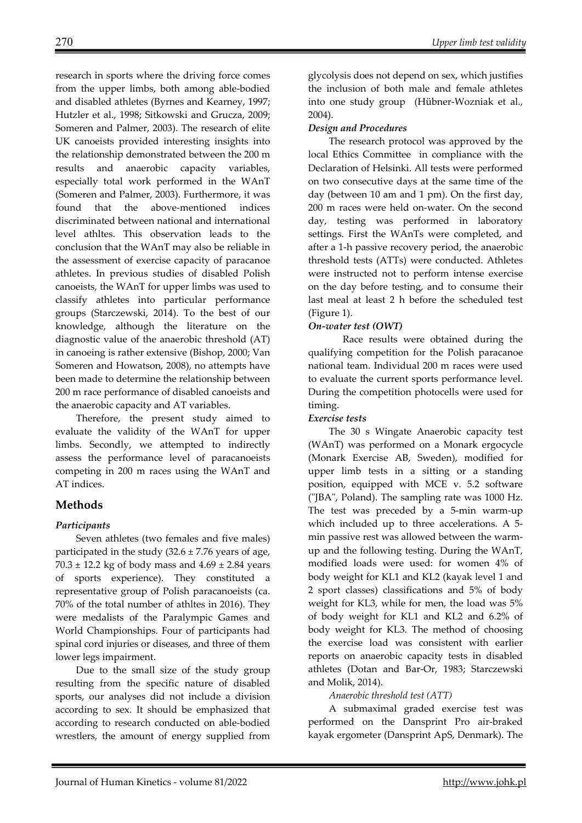research in sports where the driving force comes from the upper limbs, both among able-bodied and disabled athletes (Byrnes and Kearney, 1997; Hutzler et al., 1998; Sitkowski and Grucza, 2009; Someren and Palmer, 2003). The research of elite UK canoeists provided interesting insights into the relationship demonstrated between the 200 m results and anaerobic capacity variables, especially total work performed in the WAnT (Someren and Palmer, 2003). Furthermore, it was found that the above-mentioned indices discriminated between national and international level athltes. This observation leads to the conclusion that the WAnT may also be reliable in the assessment of exercise capacity of paracanoe athletes. In previous studies of disabled Polish canoeists, the WAnT for upper limbs was used to classify athletes into particular performance groups (Starczewski, 2014). To the best of our knowledge, although the literature on the diagnostic value of the anaerobic threshold (AT) in canoeing is rather extensive (Bishop, 2000; Van Someren and Howatson, 2008), no attempts have been made to determine the relationship between 200 m race performance of disabled canoeists and the anaerobic capacity and AT variables.

Therefore, the present study aimed to evaluate the validity of the WAnT for upper limbs. Secondly, we attempted to indirectly assess the performance level of paracanoeists competing in 200 m races using the WAnT and AT indices.

# **Methods**

# *Participants*

Seven athletes (two females and five males) participated in the study  $(32.6 \pm 7.76$  years of age,  $70.3 \pm 12.2$  kg of body mass and  $4.69 \pm 2.84$  years of sports experience). They constituted a representative group of Polish paracanoeists (ca. 70% of the total number of athltes in 2016). They were medalists of the Paralympic Games and World Championships. Four of participants had spinal cord injuries or diseases, and three of them lower legs impairment.

Due to the small size of the study group resulting from the specific nature of disabled sports, our analyses did not include a division according to sex. It should be emphasized that according to research conducted on able-bodied wrestlers, the amount of energy supplied from

glycolysis does not depend on sex, which justifies the inclusion of both male and female athletes into one study group (Hübner-Wozniak et al., 2004).

### *Design and Procedures*

The research protocol was approved by the local Ethics Committee in compliance with the Declaration of Helsinki. All tests were performed on two consecutive days at the same time of the day (between 10 am and 1 pm). On the first day, 200 m races were held on-water. On the second day, testing was performed in laboratory settings. First the WAnTs were completed, and after a 1-h passive recovery period, the anaerobic threshold tests (ATTs) were conducted. Athletes were instructed not to perform intense exercise on the day before testing, and to consume their last meal at least 2 h before the scheduled test (Figure 1).

# *On-water test (OWT)*

 Race results were obtained during the qualifying competition for the Polish paracanoe national team. Individual 200 m races were used to evaluate the current sports performance level. During the competition photocells were used for timing.

#### *Exercise tests*

The 30 s Wingate Anaerobic capacity test (WAnT) was performed on a Monark ergocycle (Monark Exercise AB, Sweden), modified for upper limb tests in a sitting or a standing position, equipped with MCE v. 5.2 software ("JBA", Poland). The sampling rate was 1000 Hz. The test was preceded by a 5-min warm-up which included up to three accelerations. A 5 min passive rest was allowed between the warmup and the following testing. During the WAnT, modified loads were used: for women 4% of body weight for KL1 and KL2 (kayak level 1 and 2 sport classes) classifications and 5% of body weight for KL3, while for men, the load was 5% of body weight for KL1 and KL2 and 6.2% of body weight for KL3. The method of choosing the exercise load was consistent with earlier reports on anaerobic capacity tests in disabled athletes (Dotan and Bar-Or, 1983; Starczewski and Molik, 2014).

# *Anaerobic threshold test (ATT)*

A submaximal graded exercise test was performed on the Dansprint Pro air-braked kayak ergometer (Dansprint ApS, Denmark). The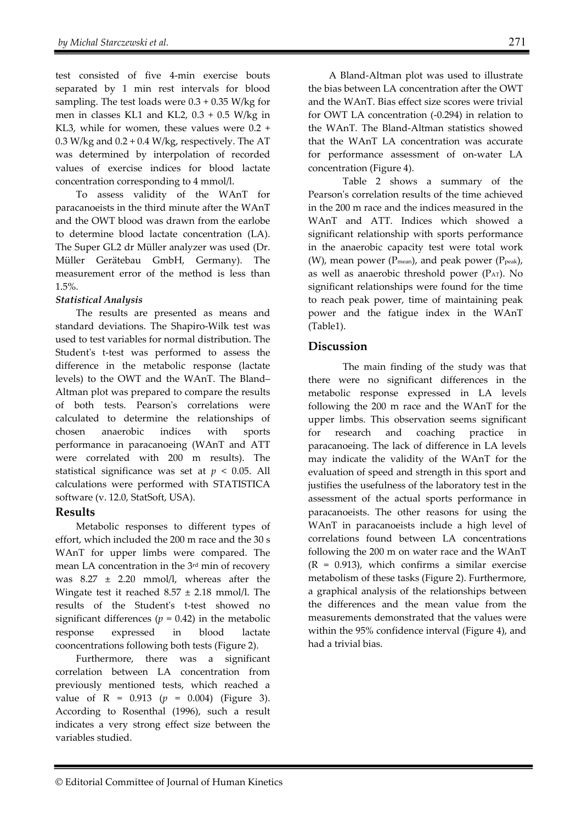test consisted of five 4-min exercise bouts separated by 1 min rest intervals for blood sampling. The test loads were  $0.3 + 0.35$  W/kg for men in classes KL1 and KL2, 0.3 + 0.5 W/kg in KL3, while for women, these values were 0.2 + 0.3 W/kg and  $0.2 + 0.4$  W/kg, respectively. The AT was determined by interpolation of recorded values of exercise indices for blood lactate concentration corresponding to 4 mmol/l.

To assess validity of the WAnT for paracanoeists in the third minute after the WAnT and the OWT blood was drawn from the earlobe to determine blood lactate concentration (LA). The Super GL2 dr Müller analyzer was used (Dr. Müller Gerätebau GmbH, Germany). The measurement error of the method is less than 1.5%.

## *Statistical Analysis*

The results are presented as means and standard deviations. The Shapiro-Wilk test was used to test variables for normal distribution. The Student's t-test was performed to assess the difference in the metabolic response (lactate levels) to the OWT and the WAnT. The Bland– Altman plot was prepared to compare the results of both tests. Pearson's correlations were calculated to determine the relationships of chosen anaerobic indices with sports performance in paracanoeing (WAnT and ATT were correlated with 200 m results). The statistical significance was set at  $p < 0.05$ . All calculations were performed with STATISTICA software (v. 12.0, StatSoft, USA).

# **Results**

Metabolic responses to different types of effort, which included the 200 m race and the 30 s WAnT for upper limbs were compared. The mean LA concentration in the 3rd min of recovery was 8.27 ± 2.20 mmol/l, whereas after the Wingate test it reached  $8.57 \pm 2.18$  mmol/l. The results of the Student's t-test showed no significant differences ( $p = 0.42$ ) in the metabolic response expressed in blood lactate cooncentrations following both tests (Figure 2).

Furthermore, there was a significant correlation between LA concentration from previously mentioned tests, which reached a value of  $R = 0.913$  ( $p = 0.004$ ) (Figure 3). According to Rosenthal (1996), such a result indicates a very strong effect size between the variables studied.

A Bland-Altman plot was used to illustrate the bias between LA concentration after the OWT and the WAnT. Bias effect size scores were trivial for OWT LA concentration (-0.294) in relation to the WAnT. The Bland-Altman statistics showed that the WAnT LA concentration was accurate for performance assessment of on-water LA concentration (Figure 4).

Table 2 shows a summary of the Pearson's correlation results of the time achieved in the 200 m race and the indices measured in the WAnT and ATT. Indices which showed a significant relationship with sports performance in the anaerobic capacity test were total work (W), mean power ( $P_{mean}$ ), and peak power ( $P_{peak}$ ), as well as anaerobic threshold power (PAT). No significant relationships were found for the time to reach peak power, time of maintaining peak power and the fatigue index in the WAnT (Table1).

## **Discussion**

The main finding of the study was that there were no significant differences in the metabolic response expressed in LA levels following the 200 m race and the WAnT for the upper limbs. This observation seems significant for research and coaching practice in paracanoeing. The lack of difference in LA levels may indicate the validity of the WAnT for the evaluation of speed and strength in this sport and justifies the usefulness of the laboratory test in the assessment of the actual sports performance in paracanoeists. The other reasons for using the WAnT in paracanoeists include a high level of correlations found between LA concentrations following the 200 m on water race and the WAnT  $(R = 0.913)$ , which confirms a similar exercise metabolism of these tasks (Figure 2). Furthermore, a graphical analysis of the relationships between the differences and the mean value from the measurements demonstrated that the values were within the 95% confidence interval (Figure 4), and had a trivial bias.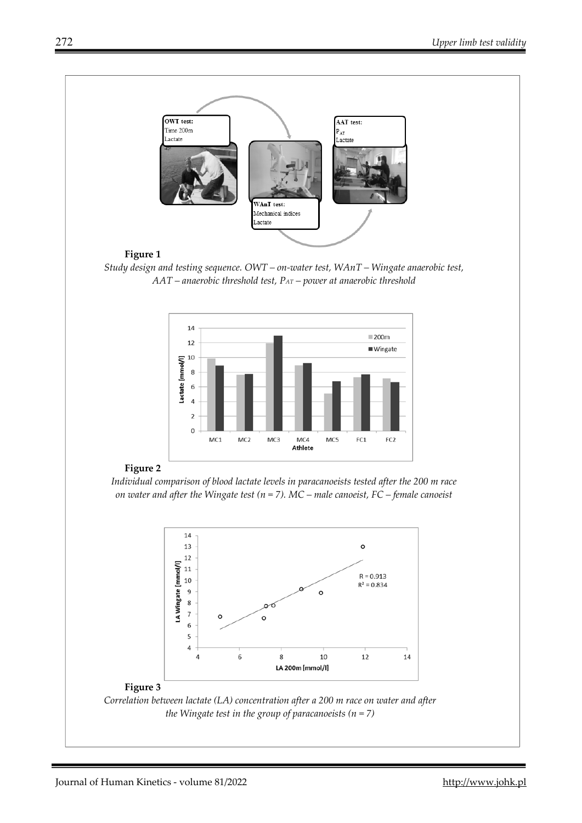

#### **Figure 1**

*Study design and testing sequence. OWT – on-water test, WAnT – Wingate anaerobic test, AAT – anaerobic threshold test, PAT – power at anaerobic threshold* 



#### **Figure 2**

*Individual comparison of blood lactate levels in paracanoeists tested after the 200 m race on water and after the Wingate test (n = 7). MC – male canoeist, FC – female canoeist* 



#### **Figure 3**

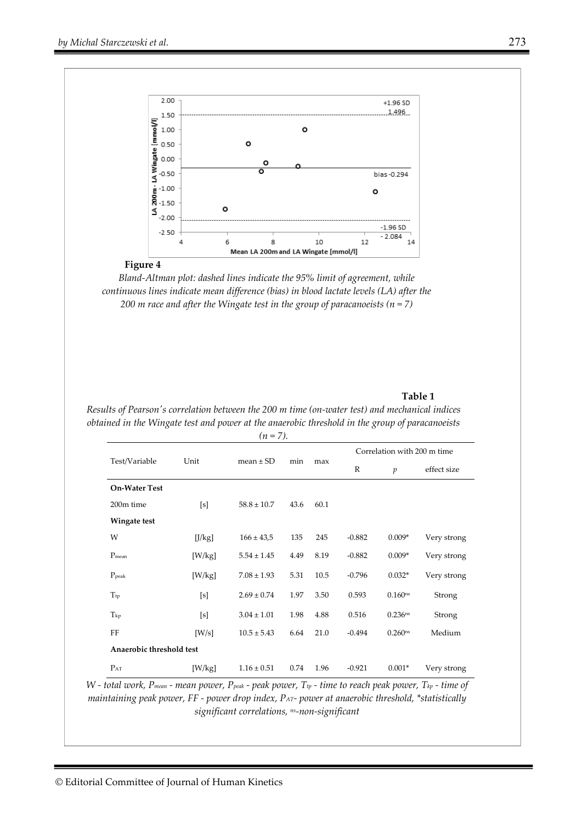



*Bland-Altman plot: dashed lines indicate the 95% limit of agreement, while continuous lines indicate mean difference (bias) in blood lactate levels (LA) after the 200 m race and after the Wingate test in the group of paracanoeists (n = 7)*

#### **Table 1**

| Test/Variable            | Unit   | mean $\pm$ SD   | min  | max  | Correlation with 200 m time |                     |             |
|--------------------------|--------|-----------------|------|------|-----------------------------|---------------------|-------------|
|                          |        |                 |      |      | R                           | $\mathfrak{p}$      | effect size |
| <b>On-Water Test</b>     |        |                 |      |      |                             |                     |             |
| 200m time                | [s]    | $58.8 \pm 10.7$ | 43.6 | 60.1 |                             |                     |             |
| Wingate test             |        |                 |      |      |                             |                     |             |
| W                        | [J/kg] | $166 \pm 43.5$  | 135  | 245  | $-0.882$                    | $0.009*$            | Very strong |
| $P_{mean}$               | [W/kg] | $5.54 \pm 1.45$ | 4.49 | 8.19 | $-0.882$                    | $0.009*$            | Very strong |
| $P_{\rm peak}$           | [W/kg] | $7.08 \pm 1.93$ | 5.31 | 10.5 | $-0.796$                    | $0.032*$            | Very strong |
| T <sub>tp</sub>          | [s]    | $2.69 \pm 0.74$ | 1.97 | 3.50 | 0.593                       | $0.160^{ns}$        | Strong      |
| $T_{kp}$                 | [s]    | $3.04 \pm 1.01$ | 1.98 | 4.88 | 0.516                       | 0.236 <sup>ns</sup> | Strong      |
| FF                       | [W/s]  | $10.5 \pm 5.43$ | 6.64 | 21.0 | $-0.494$                    | 0.260 <sub>ns</sub> | Medium      |
| Anaerobic threshold test |        |                 |      |      |                             |                     |             |
| $P_{AT}$                 | [W/kg] | $1.16 \pm 0.51$ | 0.74 | 1.96 | $-0.921$                    | $0.001*$            | Very strong |

*Results of Pearson's correlation between the 200 m time (on-water test) and mechanical indices obtained in the Wingate test and power at the anaerobic threshold in the group of paracanoeists* 

*W - total work, Pmean - mean power, Ppeak - peak power, Ttp - time to reach peak power, Tkp - time of maintaining peak power, FF - power drop index, PAT- power at anaerobic threshold, \*statistically significant correlations, ns-non-significant*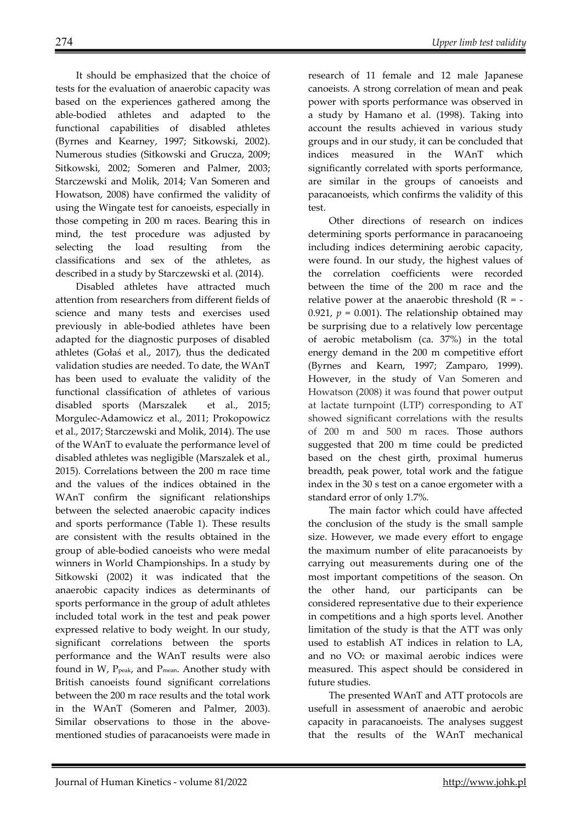It should be emphasized that the choice of tests for the evaluation of anaerobic capacity was based on the experiences gathered among the able-bodied athletes and adapted to the functional capabilities of disabled athletes (Byrnes and Kearney, 1997; Sitkowski, 2002). Numerous studies (Sitkowski and Grucza, 2009; Sitkowski, 2002; Someren and Palmer, 2003; Starczewski and Molik, 2014; Van Someren and Howatson, 2008) have confirmed the validity of using the Wingate test for canoeists, especially in those competing in 200 m races. Bearing this in mind, the test procedure was adjusted by selecting the load resulting from the classifications and sex of the athletes, as described in a study by Starczewski et al. (2014).

Disabled athletes have attracted much attention from researchers from different fields of science and many tests and exercises used previously in able-bodied athletes have been adapted for the diagnostic purposes of disabled athletes (Gołaś et al., 2017), thus the dedicated validation studies are needed. To date, the WAnT has been used to evaluate the validity of the functional classification of athletes of various disabled sports (Marszalek et al., 2015; Morgulec-Adamowicz et al., 2011; Prokopowicz et al., 2017; Starczewski and Molik, 2014). The use of the WAnT to evaluate the performance level of disabled athletes was negligible (Marszalek et al., 2015). Correlations between the 200 m race time and the values of the indices obtained in the WAnT confirm the significant relationships between the selected anaerobic capacity indices and sports performance (Table 1). These results are consistent with the results obtained in the group of able-bodied canoeists who were medal winners in World Championships. In a study by Sitkowski (2002) it was indicated that the anaerobic capacity indices as determinants of sports performance in the group of adult athletes included total work in the test and peak power expressed relative to body weight. In our study, significant correlations between the sports performance and the WAnT results were also found in W, P<sub>peak</sub>, and P<sub>mean</sub>. Another study with British canoeists found significant correlations between the 200 m race results and the total work in the WAnT (Someren and Palmer, 2003). Similar observations to those in the abovementioned studies of paracanoeists were made in research of 11 female and 12 male Japanese canoeists. A strong correlation of mean and peak power with sports performance was observed in a study by Hamano et al. (1998). Taking into account the results achieved in various study groups and in our study, it can be concluded that indices measured in the WAnT which significantly correlated with sports performance, are similar in the groups of canoeists and paracanoeists, which confirms the validity of this test.

Other directions of research on indices determining sports performance in paracanoeing including indices determining aerobic capacity, were found. In our study, the highest values of the correlation coefficients were recorded between the time of the 200 m race and the relative power at the anaerobic threshold  $(R = -$ 0.921,  $p = 0.001$ ). The relationship obtained may be surprising due to a relatively low percentage of aerobic metabolism (ca. 37%) in the total energy demand in the 200 m competitive effort (Byrnes and Kearn, 1997; Zamparo, 1999). However, in the study of Van Someren and Howatson (2008) it was found that power output at lactate turnpoint (LTP) corresponding to AT showed significant correlations with the results of 200 m and 500 m races. Those authors suggested that 200 m time could be predicted based on the chest girth, proximal humerus breadth, peak power, total work and the fatigue index in the 30 s test on a canoe ergometer with a standard error of only 1.7%.

The main factor which could have affected the conclusion of the study is the small sample size. However, we made every effort to engage the maximum number of elite paracanoeists by carrying out measurements during one of the most important competitions of the season. On the other hand, our participants can be considered representative due to their experience in competitions and a high sports level. Another limitation of the study is that the ATT was only used to establish AT indices in relation to LA, and no VO2 or maximal aerobic indices were measured. This aspect should be considered in future studies.

The presented WAnT and ATT protocols are usefull in assessment of anaerobic and aerobic capacity in paracanoeists. The analyses suggest that the results of the WAnT mechanical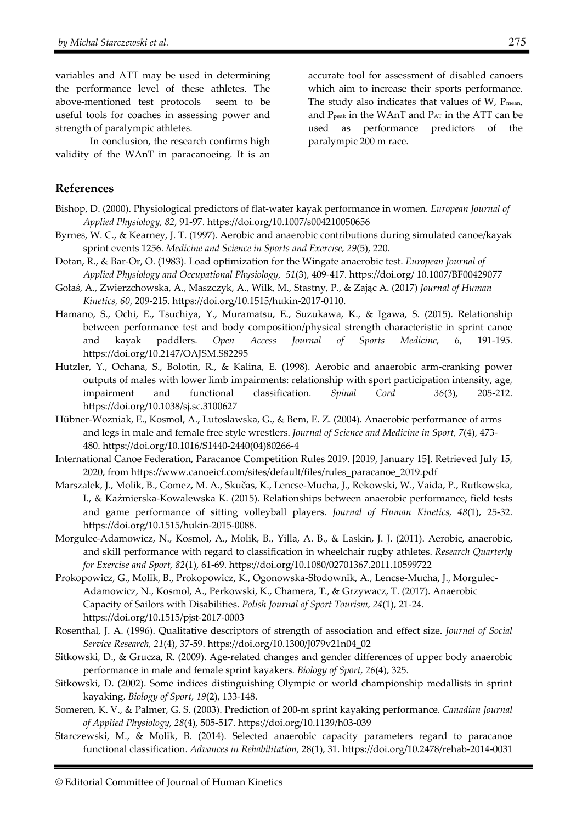variables and ATT may be used in determining the performance level of these athletes. The above-mentioned test protocols seem to be useful tools for coaches in assessing power and strength of paralympic athletes.

In conclusion, the research confirms high validity of the WAnT in paracanoeing. It is an accurate tool for assessment of disabled canoers which aim to increase their sports performance. The study also indicates that values of  $W$ ,  $P_{mean}$ , and  $P_{\text{peak}}$  in the WAnT and  $P_{\text{AT}}$  in the ATT can be used as performance predictors of the paralympic 200 m race.

#### **References**

- Bishop, D. (2000). Physiological predictors of flat-water kayak performance in women. *European Journal of Applied Physiology, 82*, 91-97. https://doi.org/10.1007/s004210050656
- Byrnes, W. C., & Kearney, J. T. (1997). Aerobic and anaerobic contributions during simulated canoe/kayak sprint events 1256. *Medicine and Science in Sports and Exercise, 29*(5), 220.
- Dotan, R., & Bar-Or, O. (1983). Load optimization for the Wingate anaerobic test. *European Journal of Applied Physiology and Occupational Physiology, 51*(3), 409-417. https://doi.org/ 10.1007/BF00429077
- Gołaś, A., Zwierzchowska, A., Maszczyk, A., Wilk, M., Stastny, P., & Zając A. (2017) *Journal of Human Kinetics, 60*, 209-215. https://doi.org/10.1515/hukin-2017-0110.
- Hamano, S., Ochi, E., Tsuchiya, Y., Muramatsu, E., Suzukawa, K., & Igawa, S. (2015). Relationship between performance test and body composition/physical strength characteristic in sprint canoe and kayak paddlers. *Open Access Journal of Sports Medicine, 6*, 191-195. https://doi.org/10.2147/OAJSM.S82295
- Hutzler, Y., Ochana, S., Bolotin, R., & Kalina, E. (1998). Aerobic and anaerobic arm-cranking power outputs of males with lower limb impairments: relationship with sport participation intensity, age, impairment and functional classification. *Spinal Cord 36*(3), 205-212. https://doi.org/10.1038/sj.sc.3100627
- Hübner-Wozniak, E., Kosmol, A., Lutoslawska, G., & Bem, E. Z. (2004). Anaerobic performance of arms and legs in male and female free style wrestlers. *Journal of Science and Medicine in Sport, 7*(4), 473- 480. https://doi.org/10.1016/S1440-2440(04)80266-4
- International Canoe Federation, Paracanoe Competition Rules 2019. [2019, January 15]. Retrieved July 15, 2020, from https://www.canoeicf.com/sites/default/files/rules\_paracanoe\_2019.pdf
- Marszalek, J., Molik, B., Gomez, M. A., Skučas, K., Lencse-Mucha, J., Rekowski, W., Vaida, P., Rutkowska, I., & Kaźmierska-Kowalewska K. (2015). Relationships between anaerobic performance, field tests and game performance of sitting volleyball players. *Journal of Human Kinetics, 48*(1), 25-32. https://doi.org/10.1515/hukin-2015-0088.
- Morgulec-Adamowicz, N., Kosmol, A., Molik, B., Yilla, A. B., & Laskin, J. J. (2011). Aerobic, anaerobic, and skill performance with regard to classification in wheelchair rugby athletes. *Research Quarterly for Exercise and Sport, 82*(1), 61-69. https://doi.org/10.1080/02701367.2011.10599722
- Prokopowicz, G., Molik, B., Prokopowicz, K., Ogonowska-Słodownik, A., Lencse-Mucha, J., Morgulec-Adamowicz, N., Kosmol, A., Perkowski, K., Chamera, T., & Grzywacz, T. (2017). Anaerobic Capacity of Sailors with Disabilities. *Polish Journal of Sport Tourism, 24*(1), 21-24. https://doi.org/10.1515/pjst-2017-0003
- Rosenthal, J. A. (1996). Qualitative descriptors of strength of association and effect size. *Journal of Social Service Research, 21*(4), 37-59. https://doi.org/10.1300/J079v21n04\_02
- Sitkowski, D., & Grucza, R. (2009). Age-related changes and gender differences of upper body anaerobic performance in male and female sprint kayakers. *Biology of Sport, 26*(4), 325.
- Sitkowski, D. (2002). Some indices distinguishing Olympic or world championship medallists in sprint kayaking. *Biology of Sport, 19*(2), 133-148.
- Someren, K. V., & Palmer, G. S. (2003). Prediction of 200-m sprint kayaking performance. *Canadian Journal of Applied Physiology, 28*(4), 505-517. https://doi.org/10.1139/h03-039
- Starczewski, M., & Molik, B. (2014). Selected anaerobic capacity parameters regard to paracanoe functional classification. *Advances in Rehabilitation,* 28(1), 31. https://doi.org/10.2478/rehab-2014-0031